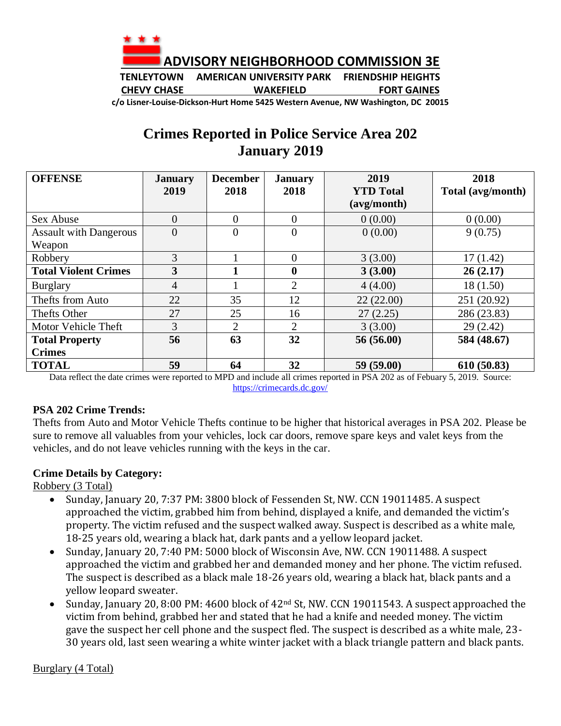

**TENLEYTOWN AMERICAN UNIVERSITY PARK FRIENDSHIP HEIGHTS CHEVY CHASE WAKEFIELD FORT GAINES**

**c/o Lisner-Louise-Dickson-Hurt Home 5425 Western Avenue, NW Washington, DC 20015**

## **Crimes Reported in Police Service Area 202 January 2019**

| <b>OFFENSE</b>                | <b>January</b> | <b>December</b> | <b>January</b> | 2019             | 2018              |
|-------------------------------|----------------|-----------------|----------------|------------------|-------------------|
|                               | 2019           | 2018            | 2018           | <b>YTD</b> Total | Total (avg/month) |
|                               |                |                 |                | (avg/month)      |                   |
| Sex Abuse                     | $\Omega$       | $\Omega$        | $\theta$       | 0(0.00)          | 0(0.00)           |
| <b>Assault with Dangerous</b> | $\overline{0}$ | $\overline{0}$  | $\overline{0}$ | 0(0.00)          | 9(0.75)           |
| Weapon                        |                |                 |                |                  |                   |
| Robbery                       | 3              |                 | $\theta$       | 3(3.00)          | 17(1.42)          |
| <b>Total Violent Crimes</b>   | 3              |                 | $\bf{0}$       | 3(3.00)          | 26(2.17)          |
| <b>Burglary</b>               | $\overline{4}$ |                 | $\overline{2}$ | 4(4.00)          | 18(1.50)          |
| Thefts from Auto              | 22             | 35              | 12             | 22(22.00)        | 251 (20.92)       |
| Thefts Other                  | 27             | 25              | 16             | 27(2.25)         | 286 (23.83)       |
| Motor Vehicle Theft           | 3              | $\overline{2}$  | 2              | 3(3.00)          | 29(2.42)          |
| <b>Total Property</b>         | 56             | 63              | 32             | 56(56.00)        | 584 (48.67)       |
| <b>Crimes</b>                 |                |                 |                |                  |                   |
| <b>TOTAL</b>                  | 59             | 64              | 32             | 59 (59.00)       | 610 (50.83)       |

Data reflect the date crimes were reported to MPD and include all crimes reported in PSA 202 as of Febuary 5, 2019. Source: <https://crimecards.dc.gov/>

## **PSA 202 Crime Trends:**

Thefts from Auto and Motor Vehicle Thefts continue to be higher that historical averages in PSA 202. Please be sure to remove all valuables from your vehicles, lock car doors, remove spare keys and valet keys from the vehicles, and do not leave vehicles running with the keys in the car.

## **Crime Details by Category:**

Robbery (3 Total)

- Sunday, January 20, 7:37 PM: 3800 block of Fessenden St, NW. CCN 19011485. A suspect approached the victim, grabbed him from behind, displayed a knife, and demanded the victim's property. The victim refused and the suspect walked away. Suspect is described as a white male, 18-25 years old, wearing a black hat, dark pants and a yellow leopard jacket.
- Sunday, January 20, 7:40 PM: 5000 block of Wisconsin Ave, NW. CCN 19011488. A suspect approached the victim and grabbed her and demanded money and her phone. The victim refused. The suspect is described as a black male 18-26 years old, wearing a black hat, black pants and a yellow leopard sweater.
- Sunday, January 20, 8:00 PM: 4600 block of 42<sup>nd</sup> St, NW. CCN 19011543. A suspect approached the victim from behind, grabbed her and stated that he had a knife and needed money. The victim gave the suspect her cell phone and the suspect fled. The suspect is described as a white male, 23- 30 years old, last seen wearing a white winter jacket with a black triangle pattern and black pants.

Burglary (4 Total)